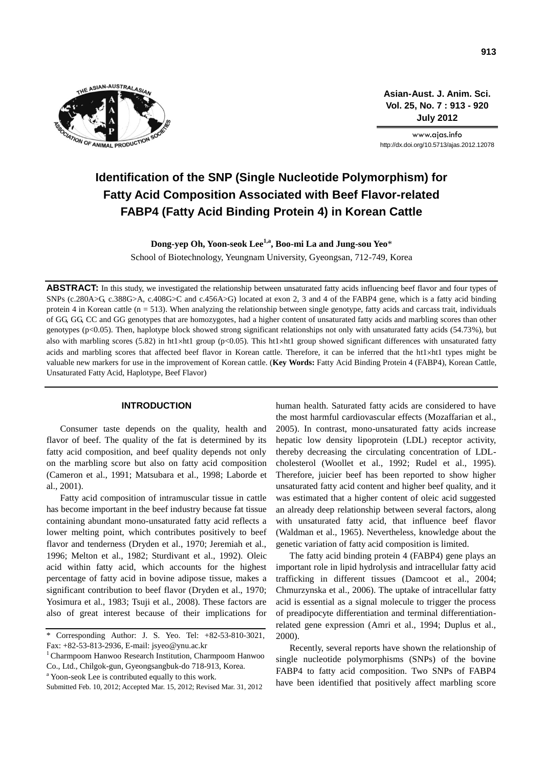

**Asian-Aust. J. Anim. Sci. Vol. 25, No. 7 : 913 - 920 July 2012**

www.ajas.info http://dx.doi.org/10.5713/ajas.2012.12078

# **Identification of the SNP (Single Nucleotide Polymorphism) for Fatty Acid Composition Associated with Beef Flavor-related FABP4 (Fatty Acid Binding Protein 4) in Korean Cattle**

**Dong-yep Oh, Yoon-seok Lee1,a, Boo-mi La and Jung-sou Yeo**\* School of Biotechnology, Yeungnam University, Gyeongsan, 712-749, Korea

ABSTRACT: In this study, we investigated the relationship between unsaturated fatty acids influencing beef flavor and four types of SNPs (c.280A>G, c.388G>A, c.408G>C and c.456A>G) located at exon 2, 3 and 4 of the FABP4 gene, which is a fatty acid binding protein 4 in Korean cattle  $(n = 513)$ . When analyzing the relationship between single genotype, fatty acids and carcass trait, individuals of GG, GG, CC and GG genotypes that are homozygotes, had a higher content of unsaturated fatty acids and marbling scores than other genotypes (p<0.05). Then, haplotype block showed strong significant relationships not only with unsaturated fatty acids (54.73%), but also with marbling scores (5.82) in ht1×ht1 group (p<0.05). This ht1×ht1 group showed significant differences with unsaturated fatty acids and marbling scores that affected beef flavor in Korean cattle. Therefore, it can be inferred that the ht1xht1 types might be valuable new markers for use in the improvement of Korean cattle. (**Key Words:** Fatty Acid Binding Protein 4 (FABP4), Korean Cattle, Unsaturated Fatty Acid, Haplotype, Beef Flavor)

# **INTRODUCTION**

Consumer taste depends on the quality, health and flavor of beef. The quality of the fat is determined by its fatty acid composition, and beef quality depends not only on the marbling score but also on fatty acid composition (Cameron et al., 1991; Matsubara et al., 1998; Laborde et al., 2001).

Fatty acid composition of intramuscular tissue in cattle has become important in the beef industry because fat tissue containing abundant mono-unsaturated fatty acid reflects a lower melting point, which contributes positively to beef flavor and tenderness (Dryden et al., 1970; Jeremiah et al., 1996; Melton et al., 1982; Sturdivant et al., 1992). Oleic acid within fatty acid, which accounts for the highest percentage of fatty acid in bovine adipose tissue, makes a significant contribution to beef flavor (Dryden et al., 1970; Yosimura et al., 1983; Tsuji et al., 2008). These factors are also of great interest because of their implications for

<sup>a</sup> Yoon-seok Lee is contributed equally to this work.

Submitted Feb. 10, 2012; Accepted Mar. 15, 2012; Revised Mar. 31, 2012

human health. Saturated fatty acids are considered to have the most harmful cardiovascular effects (Mozaffarian et al., 2005). In contrast, mono-unsaturated fatty acids increase hepatic low density lipoprotein (LDL) receptor activity, thereby decreasing the circulating concentration of LDLcholesterol (Woollet et al., 1992; Rudel et al., 1995). Therefore, juicier beef has been reported to show higher unsaturated fatty acid content and higher beef quality, and it was estimated that a higher content of oleic acid suggested an already deep relationship between several factors, along with unsaturated fatty acid, that influence beef flavor (Waldman et al., 1965). Nevertheless, knowledge about the genetic variation of fatty acid composition is limited.

The fatty acid binding protein 4 (FABP4) gene plays an important role in lipid hydrolysis and intracellular fatty acid trafficking in different tissues (Damcoot et al., 2004; Chmurzynska et al., 2006). The uptake of intracellular fatty acid is essential as a signal molecule to trigger the process of preadipocyte differentiation and terminal differentiationrelated gene expression (Amri et al., 1994; Duplus et al., 2000).

Recently, several reports have shown the relationship of single nucleotide polymorphisms (SNPs) of the bovine FABP4 to fatty acid composition. Two SNPs of FABP4 have been identified that positively affect marbling score

<sup>\*</sup> Corresponding Author: J. S. Yeo. Tel: +82-53-810-3021, Fax: +82-53-813-2936, E-mail: jsyeo@ynu.ac.kr

 $1$ Charmpoom Hanwoo Research Institution, Charmpoom Hanwoo Co., Ltd., Chilgok-gun, Gyeongsangbuk-do 718-913, Korea.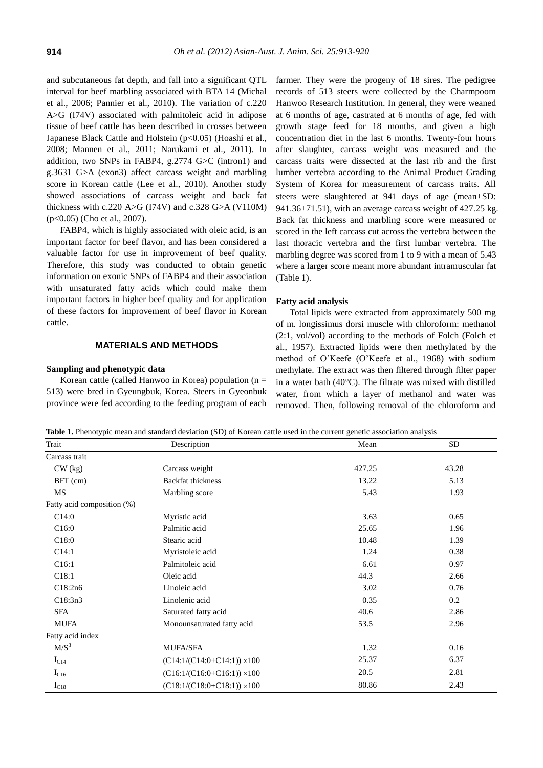and subcutaneous fat depth, and fall into a significant QTL interval for beef marbling associated with BTA 14 (Michal et al., 2006; Pannier et al., 2010). The variation of c.220 A>G (I74V) associated with palmitoleic acid in adipose tissue of beef cattle has been described in crosses between Japanese Black Cattle and Holstein (p<0.05) (Hoashi et al., 2008; Mannen et al., 2011; Narukami et al., 2011). In addition, two SNPs in FABP4, g.2774 G>C (intron1) and g.3631 G>A (exon3) affect carcass weight and marbling score in Korean cattle (Lee et al., 2010). Another study showed associations of carcass weight and back fat thickness with c.220 A>G (I74V) and c.328 G>A (V110M) (p<0.05) (Cho et al., 2007).

FABP4, which is highly associated with oleic acid, is an important factor for beef flavor, and has been considered a valuable factor for use in improvement of beef quality. Therefore, this study was conducted to obtain genetic information on exonic SNPs of FABP4 and their association with unsaturated fatty acids which could make them important factors in higher beef quality and for application of these factors for improvement of beef flavor in Korean cattle.

# **MATERIALS AND METHODS**

#### **Sampling and phenotypic data**

Korean cattle (called Hanwoo in Korea) population ( $n =$ 513) were bred in Gyeungbuk, Korea. Steers in Gyeonbuk province were fed according to the feeding program of each farmer. They were the progeny of 18 sires. The pedigree records of 513 steers were collected by the Charmpoom Hanwoo Research Institution. In general, they were weaned at 6 months of age, castrated at 6 months of age, fed with growth stage feed for 18 months, and given a high concentration diet in the last 6 months. Twenty-four hours after slaughter, carcass weight was measured and the carcass traits were dissected at the last rib and the first lumber vertebra according to the Animal Product Grading System of Korea for measurement of carcass traits. All steers were slaughtered at 941 days of age (mean±SD: 941.36 $\pm$ 71.51), with an average carcass weight of 427.25 kg. Back fat thickness and marbling score were measured or scored in the left carcass cut across the vertebra between the last thoracic vertebra and the first lumbar vertebra. The marbling degree was scored from 1 to 9 with a mean of 5.43 where a larger score meant more abundant intramuscular fat (Table 1).

#### **Fatty acid analysis**

Total lipids were extracted from approximately 500 mg of m. longissimus dorsi muscle with chloroform: methanol (2:1, vol/vol) according to the methods of Folch (Folch et al., 1957). Extracted lipids were then methylated by the method of O'Keefe (O'Keefe et al., 1968) with sodium methylate. The extract was then filtered through filter paper in a water bath  $(40^{\circ}C)$ . The filtrate was mixed with distilled water, from which a layer of methanol and water was removed. Then, following removal of the chloroform and

**Table 1.** Phenotypic mean and standard deviation (SD) of Korean cattle used in the current genetic association analysis

| Trait                      | Description                        | Mean   | <b>SD</b> |
|----------------------------|------------------------------------|--------|-----------|
| Carcass trait              |                                    |        |           |
| $CW$ (kg)                  | Carcass weight                     | 427.25 | 43.28     |
| $BFT$ (cm)                 | <b>Backfat thickness</b>           | 13.22  | 5.13      |
| MS                         | Marbling score                     | 5.43   | 1.93      |
| Fatty acid composition (%) |                                    |        |           |
| C14:0                      | Myristic acid                      | 3.63   | 0.65      |
| C16:0                      | Palmitic acid                      | 25.65  | 1.96      |
| C <sub>18:0</sub>          | Stearic acid                       | 10.48  | 1.39      |
| C14:1                      | Myristoleic acid                   | 1.24   | 0.38      |
| C <sub>16:1</sub>          | Palmitoleic acid                   | 6.61   | 0.97      |
| C18:1                      | Oleic acid                         | 44.3   | 2.66      |
| C18:2n6                    | Linoleic acid                      | 3.02   | 0.76      |
| C18:3n3                    | Linolenic acid                     | 0.35   | 0.2       |
| <b>SFA</b>                 | Saturated fatty acid               | 40.6   | 2.86      |
| MUFA                       | Monounsaturated fatty acid         | 53.5   | 2.96      |
| Fatty acid index           |                                    |        |           |
| $M/S^3$                    | <b>MUFA/SFA</b>                    | 1.32   | 0.16      |
| $I_{C14}$                  | $(C14:1/(C14:0+C14:1)) \times 100$ | 25.37  | 6.37      |
| $I_{C16}$                  | $(C16:1/(C16:0+C16:1)) \times 100$ | 20.5   | 2.81      |
| $I_{C18}$                  | $(C18:1/(C18:0+C18:1)) \times 100$ | 80.86  | 2.43      |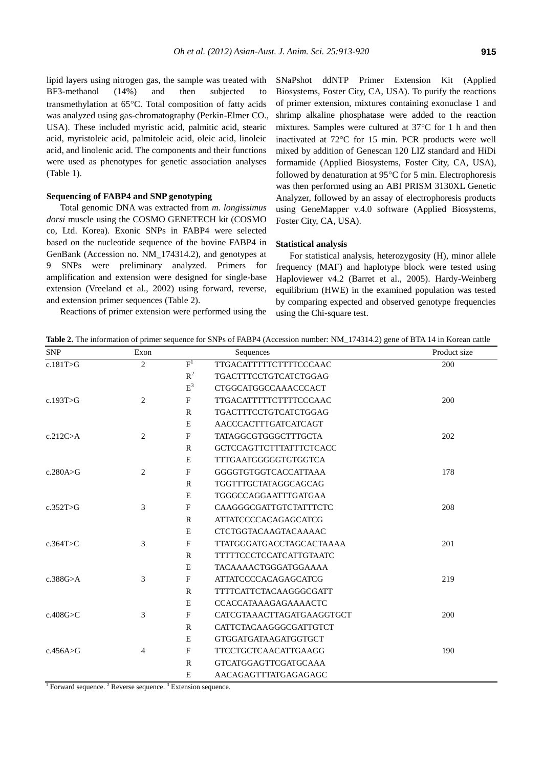lipid layers using nitrogen gas, the sample was treated with BF3-methanol (14%) and then subjected to transmethylation at 65°C. Total composition of fatty acids was analyzed using gas-chromatography (Perkin-Elmer CO., USA). These included myristic acid, palmitic acid, stearic acid, myristoleic acid, palmitoleic acid, oleic acid, linoleic acid, and linolenic acid. The components and their functions were used as phenotypes for genetic association analyses (Table 1).

## **Sequencing of FABP4 and SNP genotyping**

Total genomic DNA was extracted from *m. longissimus dorsi* muscle using the COSMO GENETECH kit (COSMO co, Ltd. Korea). Exonic SNPs in FABP4 were selected based on the nucleotide sequence of the bovine FABP4 in GenBank (Accession no. NM\_174314.2), and genotypes at 9 SNPs were preliminary analyzed. Primers for amplification and extension were designed for single-base extension (Vreeland et al., 2002) using forward, reverse, and extension primer sequences (Table 2).

Reactions of primer extension were performed using the

SNaPshot ddNTP Primer Extension Kit (Applied Biosystems, Foster City, CA, USA). To purify the reactions of primer extension, mixtures containing exonuclase 1 and shrimp alkaline phosphatase were added to the reaction mixtures. Samples were cultured at  $37^{\circ}$ C for 1 h and then inactivated at  $72^{\circ}$ C for 15 min. PCR products were well mixed by addition of Genescan 120 LIZ standard and HiDi formamide (Applied Biosystems, Foster City, CA, USA), followed by denaturation at 95°C for 5 min. Electrophoresis was then performed using an ABI PRISM 3130XL Genetic Analyzer, followed by an assay of electrophoresis products using GeneMapper v.4.0 software (Applied Biosystems, Foster City, CA, USA).

# **Statistical analysis**

For statistical analysis, heterozygosity (H), minor allele frequency (MAF) and haplotype block were tested using Haploviewer v4.2 (Barret et al., 2005). Hardy-Weinberg equilibrium (HWE) in the examined population was tested by comparing expected and observed genotype frequencies using the Chi-square test.

**Table 2.** The information of primer sequence for SNPs of FABP4 (Accession number: NM\_174314.2) gene of BTA 14 in Korean cattle

| <b>SNP</b>      | Exon           |              | Sequences                      | Product size |
|-----------------|----------------|--------------|--------------------------------|--------------|
| c.181T>G        | 2              | $F^1$        | <b>TTGACATTTTTCTTTTCCCAAC</b>  | 200          |
|                 |                | $R^2$        | TGACTTTCCTGTCATCTGGAG          |              |
|                 |                | $\mbox{E}^3$ | <b>CTGGCATGGCCAAACCCACT</b>    |              |
| c.193T > G      | $\overline{c}$ | F            | <b>TTGACATTTTTCTTTTCCCAAC</b>  | 200          |
|                 |                | $\mathbb{R}$ | <b>TGACTTTCCTGTCATCTGGAG</b>   |              |
|                 |                | E            | AACCCACTTTGATCATCAGT           |              |
| c.212C > A      | 2              | F            | <b>TATAGGCGTGGGCTTTGCTA</b>    | 202          |
|                 |                | $\mathbb{R}$ | <b>GCTCCAGTTCTTTATTTCTCACC</b> |              |
|                 |                | E            | <b>TTTGAATGGGGGTGTGGTCA</b>    |              |
| c.280A $\geq$ G | 2              | $\mathbf{F}$ | GGGGTGTGGTCACCATTAAA           | 178          |
|                 |                | R            | TGGTTTGCTATAGGCAGCAG           |              |
|                 |                | E            | TGGGCCAGGAATTTGATGAA           |              |
| c.352T>G        | 3              | F            | CAAGGGCGATTGTCTATTTCTC         | 208          |
|                 |                | $\mathbb{R}$ | <b>ATTATCCCCACAGAGCATCG</b>    |              |
|                 |                | E            | <b>CTCTGGTACAAGTACAAAAC</b>    |              |
| c.364T $>$ C    | 3              | F            | TTATGGGATGACCTAGCACTAAAA       | 201          |
|                 |                | $\mathbf{R}$ | <b>TTTTTCCCTCCATCATTGTAATC</b> |              |
|                 |                | E            | <b>TACAAAACTGGGATGGAAAA</b>    |              |
| c.388 $G>A$     | 3              | $\mathbf F$  | <b>ATTATCCCCACAGAGCATCG</b>    | 219          |
|                 |                | $\mathbb{R}$ | <b>TTTTCATTCTACAAGGGCGATT</b>  |              |
|                 |                | E            | CCACCATAAAGAGAAAACTC           |              |
| c.408G $\geq$ C | 3              | F            | CATCGTAAACTTAGATGAAGGTGCT      | 200          |
|                 |                | $\mathbf{R}$ | CATTCTACAAGGGCGATTGTCT         |              |
|                 |                | E            | <b>GTGGATGATAAGATGGTGCT</b>    |              |
| c.456A > G      | $\overline{4}$ | F            | <b>TTCCTGCTCAACATTGAAGG</b>    | 190          |
|                 |                | $\mathbb{R}$ | <b>GTCATGGAGTTCGATGCAAA</b>    |              |
|                 |                | E            | AACAGAGTTTATGAGAGAGC           |              |

<sup>1</sup> Forward sequence. <sup>2</sup> Reverse sequence. <sup>3</sup> Extension sequence.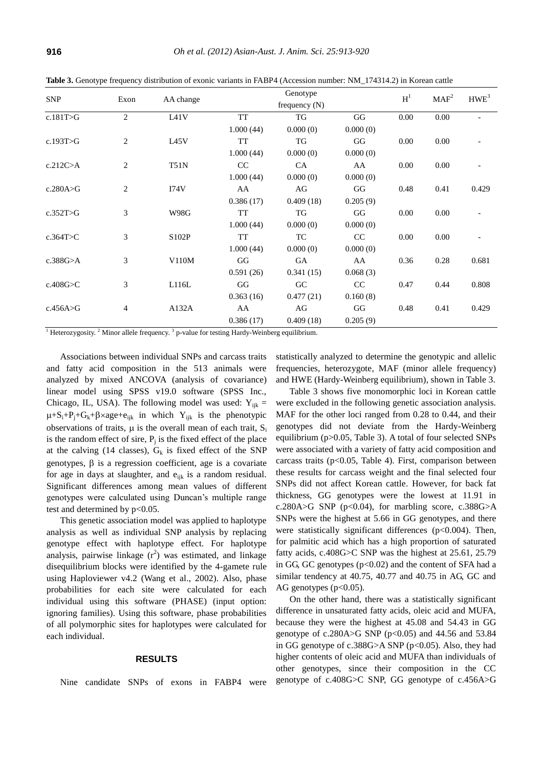|                 |                |                   | Genotype  |           |          |      | MAF <sup>2</sup> | HWE <sup>3</sup> |
|-----------------|----------------|-------------------|-----------|-----------|----------|------|------------------|------------------|
| <b>SNP</b>      | Exon           | AA change         |           | $H^1$     |          |      |                  |                  |
| c.181 $T>G$     | $\overline{c}$ | L <sub>41</sub> V | <b>TT</b> | <b>TG</b> | GG       | 0.00 | 0.00             |                  |
|                 |                |                   | 1.000(44) | 0.000(0)  | 0.000(0) |      |                  |                  |
| c.193 $T>G$     | 2              | L <sub>45</sub> V | <b>TT</b> | <b>TG</b> | GG       | 0.00 | 0.00             |                  |
|                 |                |                   | 1.000(44) | 0.000(0)  | 0.000(0) |      |                  |                  |
| c.212C>A        | $\overline{c}$ | <b>T51N</b>       | CC        | CA        | AA       | 0.00 | 0.00             |                  |
|                 |                |                   | 1.000(44) | 0.000(0)  | 0.000(0) |      |                  |                  |
| c.280A $\geq$ G | $\overline{2}$ | I74V              | AA        | AG        | GG       | 0.48 | 0.41             | 0.429            |
|                 |                |                   | 0.386(17) | 0.409(18) | 0.205(9) |      |                  |                  |
| c.352T>G        | 3              | <b>W98G</b>       | <b>TT</b> | TG        | GG       | 0.00 | 0.00             |                  |
|                 |                |                   | 1.000(44) | 0.000(0)  | 0.000(0) |      |                  |                  |
| c.364T>C        | 3              | S102P             | <b>TT</b> | TC        | CC       | 0.00 | 0.00             |                  |
|                 |                |                   | 1.000(44) | 0.000(0)  | 0.000(0) |      |                  |                  |
| c.388 $G>A$     | 3              | V110M             | GG        | GA        | AA       | 0.36 | 0.28             | 0.681            |
|                 |                |                   | 0.591(26) | 0.341(15) | 0.068(3) |      |                  |                  |
| c.408G>C        | 3              | L116L             | GG        | GC        | CC       | 0.47 | 0.44             | 0.808            |
|                 |                |                   | 0.363(16) | 0.477(21) | 0.160(8) |      |                  |                  |
| c.456A $>$ G    | $\overline{4}$ | A132A             | AA        | AG        | GG       | 0.48 | 0.41             | 0.429            |
|                 |                |                   | 0.386(17) | 0.409(18) | 0.205(9) |      |                  |                  |

**Table 3.** Genotype frequency distribution of exonic variants in FABP4 (Accession number: NM\_174314.2) in Korean cattle

<sup>1</sup> Heterozygosity. <sup>2</sup> Minor allele frequency.  $3$  p-value for testing Hardy-Weinberg equilibrium.

Associations between individual SNPs and carcass traits and fatty acid composition in the 513 animals were analyzed by mixed ANCOVA (analysis of covariance) linear model using SPSS v19.0 software (SPSS Inc., Chicago, IL, USA). The following model was used:  $Y_{ijk}$  =  $\mu + S_i + P_j + G_k + \beta \times age + e_{ijk}$  in which Y<sub>ijk</sub> is the phenotypic observations of traits,  $\mu$  is the overall mean of each trait,  $S_i$ is the random effect of sire,  $P_j$  is the fixed effect of the place at the calving (14 classes),  $G_k$  is fixed effect of the SNP genotypes,  $\beta$  is a regression coefficient, age is a covariate for age in days at slaughter, and  $e_{ijk}$  is a random residual. Significant differences among mean values of different genotypes were calculated using Duncan's multiple range test and determined by  $p<0.05$ .

This genetic association model was applied to haplotype analysis as well as individual SNP analysis by replacing genotype effect with haplotype effect. For haplotype analysis, pairwise linkage  $(r^2)$  was estimated, and linkage disequilibrium blocks were identified by the 4-gamete rule using Haploviewer v4.2 (Wang et al., 2002). Also, phase probabilities for each site were calculated for each individual using this software (PHASE) (input option: ignoring families). Using this software, phase probabilities of all polymorphic sites for haplotypes were calculated for each individual.

#### **RESULTS**

Nine candidate SNPs of exons in FABP4 were

statistically analyzed to determine the genotypic and allelic frequencies, heterozygote, MAF (minor allele frequency) and HWE (Hardy-Weinberg equilibrium), shown in Table 3.

Table 3 shows five monomorphic loci in Korean cattle were excluded in the following genetic association analysis. MAF for the other loci ranged from 0.28 to 0.44, and their genotypes did not deviate from the Hardy-Weinberg equilibrium (p>0.05, Table 3). A total of four selected SNPs were associated with a variety of fatty acid composition and carcass traits ( $p$ <0.05, Table 4). First, comparison between these results for carcass weight and the final selected four SNPs did not affect Korean cattle. However, for back fat thickness, GG genotypes were the lowest at 11.91 in c.280A>G SNP ( $p<0.04$ ), for marbling score, c.388G>A SNPs were the highest at 5.66 in GG genotypes, and there were statistically significant differences  $(p<0.004)$ . Then, for palmitic acid which has a high proportion of saturated fatty acids, c.408G>C SNP was the highest at 25.61, 25.79 in GG, GC genotypes  $(p<0.02)$  and the content of SFA had a similar tendency at 40.75, 40.77 and 40.75 in AG, GC and AG genotypes  $(p<0.05)$ .

On the other hand, there was a statistically significant difference in unsaturated fatty acids, oleic acid and MUFA, because they were the highest at 45.08 and 54.43 in GG genotype of c.280A>G SNP ( $p$ <0.05) and 44.56 and 53.84 in GG genotype of c.388G>A SNP ( $p$ <0.05). Also, they had higher contents of oleic acid and MUFA than individuals of other genotypes, since their composition in the CC genotype of c.408G>C SNP, GG genotype of c.456A>G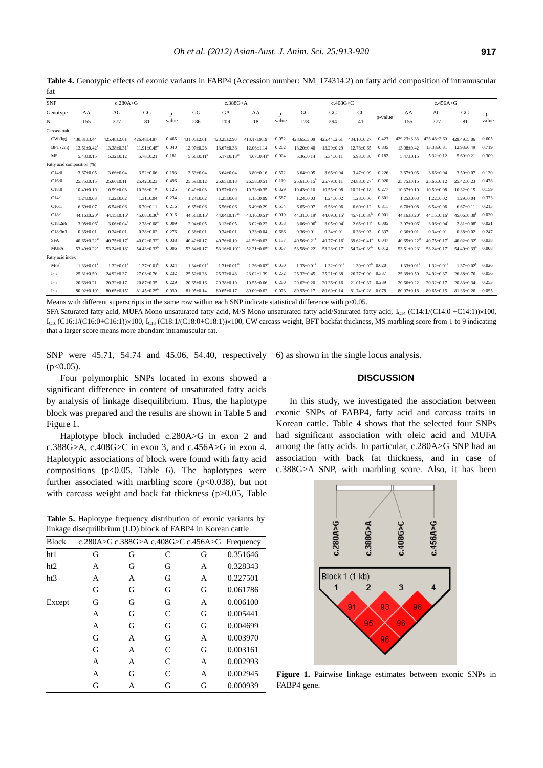| 1uı              |                                |                               |                               |       |                               |                       |                               |       |                               |                               |                               |            |                               |                               |                               |       |
|------------------|--------------------------------|-------------------------------|-------------------------------|-------|-------------------------------|-----------------------|-------------------------------|-------|-------------------------------|-------------------------------|-------------------------------|------------|-------------------------------|-------------------------------|-------------------------------|-------|
| <b>SNP</b>       | c.280A > G                     |                               |                               |       | c.388G > A                    |                       |                               |       | c.408G>C                      |                               |                               | c.456A > G |                               |                               |                               |       |
| Genotype         | AA                             | AG                            | GG                            | $p-$  | GG                            | GA                    | AA                            | $D -$ | GG                            | GC                            | CC                            |            | AA                            | AG <sub>i</sub>               | GG                            | p-    |
| N                | 155                            | 277                           | 81                            | value | 286                           | 209                   | 18                            | value | 178                           | 294                           | 41                            | p-value    | 155                           | 277                           | 81                            | value |
| Carcass trait    |                                |                               |                               |       |                               |                       |                               |       |                               |                               |                               |            |                               |                               |                               |       |
| $CW$ (kg)        | 430.81±3.44                    | 425.48±2.61                   | 426.48±4.87                   | 0.465 | 431.05±2.61                   | 423.25+2.90           | 413.17±9.19                   | 0.052 | 428.65+3.09                   | 425.44+2.61                   | 434.10+6.27                   | 0.423      | $429.23 \pm 3.38$             | $425.48 \pm 2.60$             | 429.49+5.06                   | 0.605 |
| $BFT$ (cm)       | $13.61 \pm 0.42$ <sup>b</sup>  | $13.38 \pm 0.31$ <sup>b</sup> | $11.91 \pm 0.45$ <sup>a</sup> | 0.040 | $12.97 \pm 0.28$              | $13.67 \pm 0.38$      | $12.06 \pm 1.14$              | 0.202 | $13.20 \pm 0.40$              | 13.29±0.29                    | 12.78±0.65                    | 0.835      | 13.08±0.42                    | $13.38 \pm 0.31$              | $12.93 \pm 0.49$              | 0.719 |
| MS               | $5.43 \pm 0.15$                | $5.32{\pm}0.12$               | $5.78 \pm 0.21$               | 0.181 | $5.66 \pm 0.11$               | $5.17 \pm 0.13^{ab}$  | $4.67 \pm 0.41$ <sup>a</sup>  | 0.004 | $5.36 \pm 0.14$               | $5.34 \pm 0.11$               | $5.93 \pm 0.30$               | 0.182      | $5.47 \pm 0.15$               | $5.32 \pm 0.12$               | $5.69 \pm 0.21$               | 0.309 |
|                  | Fatty acid composition (%)     |                               |                               |       |                               |                       |                               |       |                               |                               |                               |            |                               |                               |                               |       |
| C14:0            | $3.67 \pm 0.05$                | $3.66{\pm}0.04$               | $3.52{\pm}0.06$               | 0.193 | $3.63 \pm 0.04$               | $3.64 \pm 0.04$       | $3.80{\pm}0.16$               | 0.572 | $3.64 \pm 0.05$               | $3.65 \pm 0.04$               | $3.47{\pm}0.09$               | 0.226      | $3.67{\pm}0.05$               | $3.66{\pm}0.04$               | $3.50 \pm 0.07$               | 0.130 |
| C16:0            | $25.75 \pm 0.15$               | $25.66\pm0.11$                | 25.42±0.23                    | 0.496 | 25.59±0.12                    | $25.65 \pm 0.13$      | $26.58 \pm 0.51$              | 0.119 | $25.61 \pm 0.15^b$            | $25.79 \pm 0.11^b$            | 24.88±0.27                    | 0.020      | 25.75±0.15                    | $25.66\pm0.12$                | 25.42±0.23                    | 0.478 |
| C18:0            | $10.40{\pm}0.10$               | 10.59±0.08                    | $10.26 \pm 0.15$              | 0.125 | $10.40{\pm}0.08$              | $10.57 \pm 0.09$      | $10.73 \pm 0.35$              | 0.329 | $10.43{\pm}0.10$              | $10.55 \pm 0.08$              | $10.21 \pm 0.18$              | 0.277      | $10.37{\pm}0.10$              | 10.59±0.08                    | $10.32{\pm}0.15$              | 0.159 |
| C14:1            | $1.24 \pm 0.03$                | $1.22{\pm}0.02$               | $1.31 \pm 0.04$               | 0.234 | $1.24 \pm 0.02$               | $1.25 \pm 0.03$       | $1.15 \pm 0.09$               | 0.587 | $1.24 \pm 0.03$               | $1.24 \pm 0.02$               | $1.28 \pm 0.06$               | 0.801      | $1.25 \pm 0.03$               | $1.22 \pm 0.02$               | $1.29 \pm 0.04$               | 0.373 |
| C16:1            | $6.69{\pm}0.07$                | $6.54{\pm}0.06$               | $6.70{\pm}0.11$               | 0.216 | $6.65 \pm 0.06$               | $6.56{\pm}0.06$       | $6.49{\pm}0.29$               | 0.554 | $6.65 \pm 0.07$               | $6.58{\pm}0.06$               | $6.60{\pm}0.12$               | 0.811      | $6.70{\pm}0.08$               | $6.54{\pm}0.06$               | $6.67{\pm}0.11$               | 0.213 |
| C18:1            | $44.16 \pm 0.20$ <sup>a</sup>  | $44.15 \pm 0.16$ <sup>a</sup> | $45.08 \pm 0.30$ <sup>b</sup> | 0.016 | $44.56\pm0.16$ <sup>b</sup>   | $44.04 \pm 0.17^{ab}$ | $43.16 \pm 0.51$ <sup>*</sup> | 0.019 | $44.31 \pm 0.19$ <sup>a</sup> | $44.09 \pm 0.15$ <sup>a</sup> | $45.71{\pm}0.38^b$            | 0.001      | $44.16\pm0.20$ <sup>a</sup>   | $44.15 \pm 0.16^{\circ}$      | $45.06 \pm 0.30^{\circ}$      | 0.020 |
| C18:2n6          | $3.08 \pm 0.06$ <sup>b</sup>   | $3.06 \pm 0.04^b$             | $2.78 \pm 0.08$ <sup>2</sup>  | 0.009 | $2.94 \pm 0.05$               | $3.13 \pm 0.05$       | $3.02{\pm}0.22$               | 0.053 | $3.06 \pm 0.06^{\circ}$       | $3.05 \pm 0.04$ <sup>b</sup>  | $2.65 \pm 0.11$ <sup>a</sup>  | 0.005      | $3.07 \pm 0.06$ <sup>b</sup>  | $3.06 \pm 0.04$               | $2.81 \pm 0.08$ <sup>a</sup>  | 0.021 |
| C18:3n3          | $0.36 \pm 0.01$                | $0.34{\pm}0.01$               | $0.38{\pm}0.02$               | 0.276 | $0.36 \pm 0.01$               | $0.34{\pm}0.01$       | $0.33{\pm}0.04$               | 0.666 | $0.36{\pm}0.01$               | $0.34{\pm}0.01$               | $0.38{\pm}0.03$               | 0.337      | $0.36 \pm 0.01$               | $0.34{\pm}0.01$               | $0.38 + 0.02$                 | 0.247 |
| <b>SFA</b>       | $40.65 \pm 0.22$ <sup>ab</sup> | $40.75 \pm 0.17$ <sup>b</sup> | $40.02{\pm}0.32^{\circ}$      | 0.038 | $40.42{\pm}0.17$              | $40.76 \pm 0.19$      | 41.59±0.63                    | 0.137 | $40.56 \pm 0.21$ <sup>b</sup> | $40.77 \pm 0.16^{\circ}$      | $39.62 \pm 0.41$ <sup>a</sup> | 0.047      | $40.65 \pm 0.22^{ab}$         | $40.75 \pm 0.17$ <sup>b</sup> | $40.02 \pm 0.32$ <sup>a</sup> | 0.038 |
| <b>MUFA</b>      | $53.49 \pm 0.22$ <sup>a</sup>  | $53.24 \pm 0.18$ <sup>a</sup> | $54.43{\pm}0.33^b$            | 0.006 | $53.84 \pm 0.17$ <sup>b</sup> | $53.16\pm0.19^{ab}$   | $52.21 \pm 0.65$ <sup>a</sup> | 0.007 | 53.58±0.22 <sup>a</sup>       | 53.28±0.17 <sup>a</sup>       | $54.74 \pm 0.39$ <sup>b</sup> | 0.012      | $53.51 \pm 0.23$ <sup>a</sup> | 53.24±0.17 <sup>a</sup>       | 54.40±0.33 <sup>b</sup>       | 0.008 |
| Fatty acid index |                                |                               |                               |       |                               |                       |                               |       |                               |                               |                               |            |                               |                               |                               |       |
| $M/S^3$          | $1.33 \pm 0.01$                | $1.32{\pm}0.01$               | $1.37+0.01$ <sup>t</sup>      | 0.024 | $1.34 \pm 0.01$ <sup>b</sup>  | $1.31 + 0.01^{2b}$    | $1.26 + 0.03a$                | 0.030 | $1.33 \pm 0.01^*$             | $1.32 \pm 0.01$ <sup>*</sup>  | $1.39 + 0.02^b$ 0.020         |            | $1.33 \pm 0.01$ <sup>*</sup>  | $1.32 \pm 0.01^{\circ}$       | $1.37 \pm 0.02^b$             | 0.026 |
| $I_{C14}$        | $25.31 \pm 0.50$               | 24.92±0.37                    | 27.03±0.76                    | 0.232 | 25.52±0.38                    | $25.37 \pm 0.43$      | 23.02±1.39                    | 0.272 | 25.32±0.45                    | $25.21 \pm 0.38$              | 26.77±0.90                    | 0.337      | 25.39±0.50                    | 24.92±0.37                    | 26.88±0.76                    | 0.056 |
| $I_{C16}$        | $20.63 \pm 0.21$               | $20.32 \pm 0.17$              | 20.87±0.35                    | 0.229 | $20.65 \pm 0.16$              | $20.38 \pm 0.19$      | 19.55±0.66                    | 0.200 | $20.62 \pm 0.20$              | $20.35 \pm 0.16$              | $21.01 \pm 0.37$              | 0.289      | 20.66±0.22                    | $20.32 \pm 0.17$              | 20.83±0.34                    | 0.253 |
| $I_{C18}$        | $80.92 \pm 0.19$ <sup>*</sup>  | $80.65 \pm 0.15$ <sup>a</sup> | $81.45 \pm 0.25$ <sup>t</sup> | 0.030 | $81.05 \pm 0.14$              | $80.65 \pm 0.17$      | $80.09 \pm 0.62$              | 0.073 | 80.93±0.17                    | 80.69±0.14                    | $81.74 \pm 0.28$              | 0.078      | 80.97±0.18                    | $80.65 \pm 0.15$              | 81.36±0.26                    | 0.055 |

**Table 4.** Genotypic effects of exonic variants in FABP4 (Accession number: NM\_174314.2) on fatty acid composition of intramuscular fat

Means with different superscripts in the same row within each SNP indicate statistical difference with  $p<0.05$ .

SFA Saturated fatty acid, MUFA Mono unsaturated fatty acid, M/S Mono unsaturated fatty acid/Saturated fatty acid, I<sub>C14</sub> (C14:1/(C14:0 +C14:1)) $\times$ 100,  $I_{C16}$  (C16:1/(C16:0+C16:1))×100,  $I_{C18}$  (C18:1/(C18:0+C18:1))×100, CW carcass weight, BFT backfat thickness, MS marbling score from 1 to 9 indicating that a larger score means more abundant intramuscular fat.

SNP were 45.71, 54.74 and 45.06, 54.40, respectively 6) as shown in the single locus analysis.  $(p<0.05)$ .

Four polymorphic SNPs located in exons showed a significant difference in content of unsaturated fatty acids by analysis of linkage disequilibrium. Thus, the haplotype block was prepared and the results are shown in Table 5 and Figure 1.

Haplotype block included c.280A>G in exon 2 and c.388G>A, c.408G>C in exon 3, and c.456A>G in exon 4. Haplotypic associations of block were found with fatty acid compositions ( $p<0.05$ , Table 6). The haplotypes were further associated with marbling score ( $p$ <0.038), but not with carcass weight and back fat thickness (p>0.05, Table

**Table 5.** Haplotype frequency distribution of exonic variants by linkage disequilibrium (LD) block of FABP4 in Korean cattle

| <b>Block</b> |   |   |   |   | c.280A>G c.388G>A c.408G>C c.456A>G Frequency |
|--------------|---|---|---|---|-----------------------------------------------|
| ht 1         | G | G | C | G | 0.351646                                      |
| ht2          | A | G | G | A | 0.328343                                      |
| ht3          | A | A | G | A | 0.227501                                      |
|              | G | G | G | G | 0.061786                                      |
| Except       | G | G | G | A | 0.006100                                      |
|              | А | G | C | G | 0.005441                                      |
|              | A | G | G | G | 0.004699                                      |
|              | G | A | G | A | 0.003970                                      |
|              | G | A | C | G | 0.003161                                      |
|              | А | А | C | A | 0.002993                                      |
|              | A | G | C | A | 0.002945                                      |
|              | G | А | G | G | 0.000939                                      |

# **DISCUSSION**

In this study, we investigated the association between exonic SNPs of FABP4, fatty acid and carcass traits in Korean cattle. Table 4 shows that the selected four SNPs had significant association with oleic acid and MUFA among the fatty acids. In particular, c.280A>G SNP had an association with back fat thickness, and in case of c.388G>A SNP, with marbling score. Also, it has been



**Figure 1.** Pairwise linkage estimates between exonic SNPs in FABP4 gene.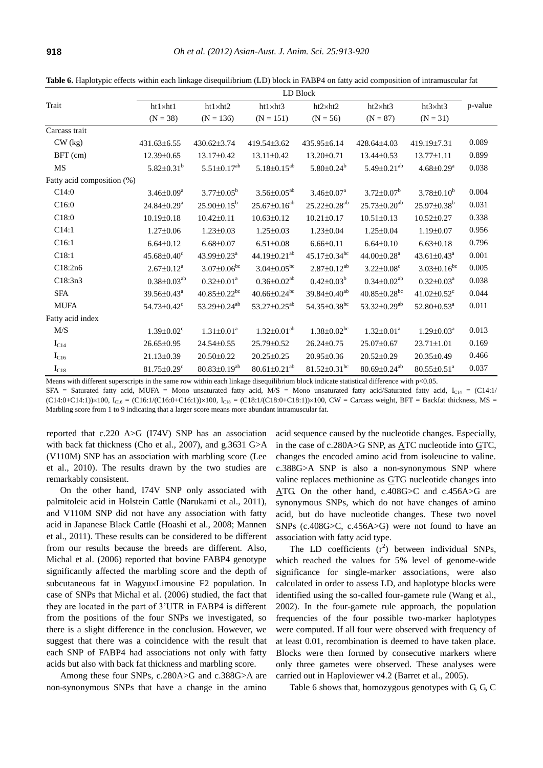|                            | LD Block                      |                                |                                |                                |                                |                                  |         |  |  |
|----------------------------|-------------------------------|--------------------------------|--------------------------------|--------------------------------|--------------------------------|----------------------------------|---------|--|--|
| Trait                      | ht1×ht1                       | $ht1 \times ht2$               | $ht1 \times ht3$               | $ht2\times ht2$                | $ht2\times ht3$                | ht3×ht3                          | p-value |  |  |
|                            | $(N = 38)$                    | $(N = 136)$                    | $(N = 151)$                    | $(N = 56)$                     | $(N = 87)$                     | $(N = 31)$                       |         |  |  |
| Carcass trait              |                               |                                |                                |                                |                                |                                  |         |  |  |
| $CW$ (kg)                  | 431.63±6.55                   | 430.62±3.74                    | 419.54±3.62                    | 435.95±6.14                    | 428.64±4.03                    | 419.19±7.31                      | 0.089   |  |  |
| BFT (cm)                   | $12.39 \pm 0.65$              | 13.17±0.42                     | $13.11 \pm 0.42$               | 13.20±0.71                     | $13.44 \pm 0.53$               | $13.77 \pm 1.11$                 | 0.899   |  |  |
| <b>MS</b>                  | $5.82 \pm 0.31^b$             | $5.51 \pm 0.17^{ab}$           | $5.18 \pm 0.15^{ab}$           | $5.80 \pm 0.24^b$              | 5.49 $\pm$ 0.21 <sup>ab</sup>  | $4.68 \pm 0.29^a$                | 0.038   |  |  |
| Fatty acid composition (%) |                               |                                |                                |                                |                                |                                  |         |  |  |
| C14:0                      | $3.46 \pm 0.09^a$             | $3.77 \pm 0.05^b$              | $3.56 \pm 0.05^{ab}$           | $3.46 \pm 0.07^{\text{a}}$     | $3.72 \pm 0.07^b$              | $3.78 \pm 0.10^b$                | 0.004   |  |  |
| C16:0                      | $24.84 \pm 0.29^a$            | $25.90 \pm 0.15^b$             | $25.67 \pm 0.16^{ab}$          | 25.22±0.28 <sup>ab</sup>       | $25.73 \pm 0.20$ <sup>ab</sup> | $25.97 \pm 0.38^b$               | 0.031   |  |  |
| C18:0                      | $10.19 \pm 0.18$              | $10.42 \pm 0.11$               | $10.63 \pm 0.12$               | $10.21 \pm 0.17$               | $10.51 \pm 0.13$               | $10.52 \pm 0.27$                 | 0.338   |  |  |
| C14:1                      | $1.27 \pm 0.06$               | $1.23 \pm 0.03$                | $1.25 \pm 0.03$                | $1.23 \pm 0.04$                | $1.25 \pm 0.04$                | $1.19 \pm 0.07$                  | 0.956   |  |  |
| C16:1                      | $6.64 \pm 0.12$               | $6.68{\pm}0.07$                | $6.51 \pm 0.08$                | $6.66 \pm 0.11$                | $6.64 \pm 0.10$                | $6.63 \pm 0.18$                  | 0.796   |  |  |
| C18:1                      | $45.68 \pm 0.40$ <sup>c</sup> | 43.99±0.23 <sup>a</sup>        | 44.19±0.21 <sup>ab</sup>       | $45.17 \pm 0.34$ <sup>bc</sup> | 44.00±0.28 <sup>a</sup>        | $43.61 \pm 0.43^a$               | 0.001   |  |  |
| C18:2n6                    | $2.67 \pm 0.12^a$             | $3.07 \pm 0.06$ <sup>bc</sup>  | $3.04 \pm 0.05^{bc}$           | $2.87 \pm 0.12^{ab}$           | $3.22 \pm 0.08$ <sup>c</sup>   | $3.03 \pm 0.16$ <sup>bc</sup>    | 0.005   |  |  |
| C18:3n3                    | $0.38 \pm 0.03^{ab}$          | $0.32 \pm 0.01^a$              | $0.36 \pm 0.02^{ab}$           | $0.42 \pm 0.03^b$              | $0.34 \pm 0.02^{ab}$           | $0.32 \pm 0.03^a$                | 0.038   |  |  |
| <b>SFA</b>                 | 39.56±0.43 <sup>a</sup>       | $40.85 \pm 0.22$ <sup>bc</sup> | $40.66 \pm 0.24$ <sup>bc</sup> | 39.84±0.40 <sup>ab</sup>       | $40.85 \pm 0.28$ <sup>bc</sup> | 41.02 $\pm$ 0.52 $\rm{^{\circ}}$ | 0.044   |  |  |
| <b>MUFA</b>                | $54.73 \pm 0.42$ <sup>c</sup> | 53.29±0.24 <sup>ab</sup>       | 53.27 $\pm$ 0.25 <sup>ab</sup> | 54.35 $\pm$ 0.38 <sup>bc</sup> | 53.32 $\pm$ 0.29 <sup>ab</sup> | $52.80 \pm 0.53$ <sup>a</sup>    | 0.011   |  |  |
| Fatty acid index           |                               |                                |                                |                                |                                |                                  |         |  |  |
| M/S                        | $1.39 \pm 0.02$ <sup>c</sup>  | $1.31 \pm 0.01^a$              | $1.32 \pm 0.01^{ab}$           | $1.38 \pm 0.02$ <sup>bc</sup>  | $1.32 \pm 0.01^a$              | $1.29 \pm 0.03^a$                | 0.013   |  |  |
| $I_{C14}$                  | $26.65 \pm 0.95$              | 24.54±0.55                     | 25.79±0.52                     | $26.24 \pm 0.75$               | $25.07 \pm 0.67$               | $23.71 \pm 1.01$                 | 0.169   |  |  |
| $I_{C16}$                  | 21.13±0.39                    | 20.50±0.22                     | 20.25±0.25                     | $20.95 \pm 0.36$               | 20.52±0.29                     | $20.35 \pm 0.49$                 | 0.466   |  |  |
| $I_{C18}$                  | $81.75 \pm 0.29$ <sup>c</sup> | 80.83±0.19 <sup>ab</sup>       | $80.61 \pm 0.21$ <sup>ab</sup> | $81.52 \pm 0.31$ <sup>bc</sup> | 80.69±0.24 <sup>ab</sup>       | $80.55 \pm 0.51$ <sup>a</sup>    | 0.037   |  |  |

Table 6. Haplotypic effects within each linkage disequilibrium (LD) block in FABP4 on fatty acid composition of intramuscular fat

Means with different superscripts in the same row within each linkage disequilibrium block indicate statistical difference with p<0.05. SFA = Saturated fatty acid, MUFA = Mono unsaturated fatty acid, M/S = Mono unsaturated fatty acid/Saturated fatty acid,  $I_{C14}$  = (C14:1/  $(C14:0+C14:1))\times100$ ,  $I_{C16} = (C16:1/(C16:0+C16:1))\times100$ ,  $I_{C18} = (C18:1/(C18:0+C18:1))\times100$ ,  $CW =$  Carcass weight, BFT = Backfat thickness, MS = Marbling score from 1 to 9 indicating that a larger score means more abundant intramuscular fat.

reported that c.220 A>G (I74V) SNP has an association with back fat thickness (Cho et al., 2007), and g.3631 G>A (V110M) SNP has an association with marbling score (Lee et al., 2010). The results drawn by the two studies are remarkably consistent.

On the other hand, I74V SNP only associated with palmitoleic acid in Holstein Cattle (Narukami et al., 2011), and V110M SNP did not have any association with fatty acid in Japanese Black Cattle (Hoashi et al., 2008; Mannen et al., 2011). These results can be considered to be different from our results because the breeds are different. Also, Michal et al. (2006) reported that bovine FABP4 genotype significantly affected the marbling score and the depth of subcutaneous fat in Wagyu×Limousine F2 population. In case of SNPs that Michal et al. (2006) studied, the fact that they are located in the part of 3'UTR in FABP4 is different from the positions of the four SNPs we investigated, so there is a slight difference in the conclusion. However, we suggest that there was a coincidence with the result that each SNP of FABP4 had associations not only with fatty acids but also with back fat thickness and marbling score.

Among these four SNPs, c.280A>G and c.388G>A are non-synonymous SNPs that have a change in the amino

acid sequence caused by the nucleotide changes. Especially, in the case of c.280A>G SNP, as ATC nucleotide into GTC, changes the encoded amino acid from isoleucine to valine. c.388G>A SNP is also a non-synonymous SNP where valine replaces methionine as GTG nucleotide changes into ATG. On the other hand, c.408G>C and c.456A>G are synonymous SNPs, which do not have changes of amino acid, but do have nucleotide changes. These two novel SNPs (c.408G>C, c.456A>G) were not found to have an association with fatty acid type.

The LD coefficients  $(r^2)$  between individual SNPs, which reached the values for 5% level of genome-wide significance for single-marker associations, were also calculated in order to assess LD, and haplotype blocks were identified using the so-called four-gamete rule (Wang et al., 2002). In the four-gamete rule approach, the population frequencies of the four possible two-marker haplotypes were computed. If all four were observed with frequency of at least 0.01, recombination is deemed to have taken place. Blocks were then formed by consecutive markers where only three gametes were observed. These analyses were carried out in Haploviewer v4.2 (Barret et al., 2005).

Table 6 shows that, homozygous genotypes with G, G, C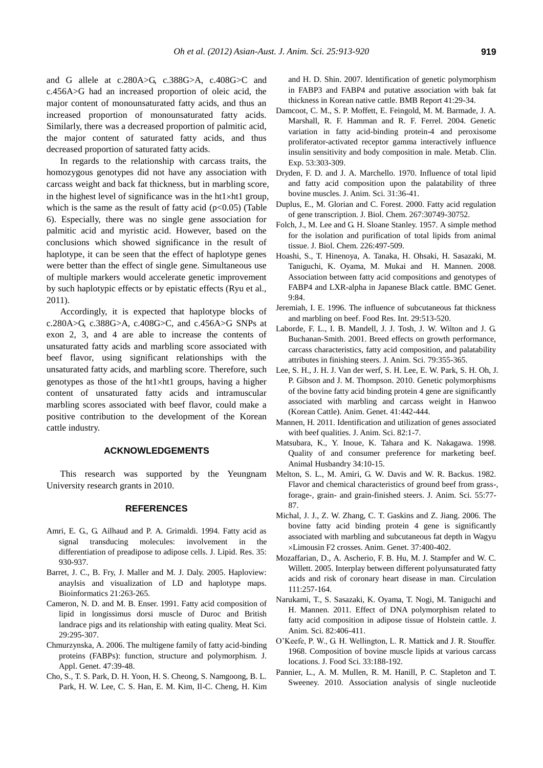and G allele at c.280A>G, c.388G>A, c.408G>C and c.456A>G had an increased proportion of oleic acid, the major content of monounsaturated fatty acids, and thus an increased proportion of monounsaturated fatty acids. Similarly, there was a decreased proportion of palmitic acid, the major content of saturated fatty acids, and thus decreased proportion of saturated fatty acids.

In regards to the relationship with carcass traits, the homozygous genotypes did not have any association with carcass weight and back fat thickness, but in marbling score, in the highest level of significance was in the ht $1\times$ ht1 group, which is the same as the result of fatty acid ( $p<0.05$ ) (Table 6). Especially, there was no single gene association for palmitic acid and myristic acid. However, based on the conclusions which showed significance in the result of haplotype, it can be seen that the effect of haplotype genes were better than the effect of single gene. Simultaneous use of multiple markers would accelerate genetic improvement by such haplotypic effects or by epistatic effects (Ryu et al., 2011).

Accordingly, it is expected that haplotype blocks of c.280A>G, c.388G>A, c.408G>C, and c.456A>G SNPs at exon 2, 3, and 4 are able to increase the contents of unsaturated fatty acids and marbling score associated with beef flavor, using significant relationships with the unsaturated fatty acids, and marbling score. Therefore, such genotypes as those of the ht $1\times$ ht1 groups, having a higher content of unsaturated fatty acids and intramuscular marbling scores associated with beef flavor, could make a positive contribution to the development of the Korean cattle industry.

## **ACKNOWLEDGEMENTS**

This research was supported by the Yeungnam University research grants in 2010.

#### **REFERENCES**

- Amri, E. G., G. Ailhaud and P. A. Grimaldi. 1994. Fatty acid as signal transducing molecules: involvement in the differentiation of preadipose to adipose cells. J. Lipid. Res. 35: 930-937.
- Barret, J. C., B. Fry, J. Maller and M. J. Daly. 2005. Haploview: anaylsis and visualization of LD and haplotype maps. Bioinformatics 21:263-265.
- Cameron, N. D. and M. B. Enser. 1991. Fatty acid composition of lipid in longissimus dorsi muscle of Duroc and British landrace pigs and its relationship with eating quality. Meat Sci. 29:295-307.
- Chmurzynska, A. 2006. The multigene family of fatty acid-binding proteins (FABPs): function, structure and polymorphism. J. Appl. Genet. 47:39-48.
- Cho, S., T. S. Park, D. H. Yoon, H. S. Cheong, S. Namgoong, B. L. Park, H. W. Lee, C. S. Han, E. M. Kim, Il-C. Cheng, H. Kim

and H. D. Shin. 2007. Identification of genetic polymorphism in FABP3 and FABP4 and putative association with bak fat thickness in Korean native cattle. BMB Report 41:29-34.

- Damcoot, C. M., S. P. Moffett, E. Feingold, M. M. Barmade, J. A. Marshall, R. F. Hamman and R. F. Ferrel. 2004. Genetic variation in fatty acid-binding protein-4 and peroxisome proliferator-activated receptor gamma interactively influence insulin sensitivity and body composition in male. Metab. Clin. Exp. 53:303-309.
- Dryden, F. D. and J. A. Marchello. 1970. Influence of total lipid and fatty acid composition upon the palatability of three bovine muscles. J. Anim. Sci. 31:36-41.
- Duplus, E., M. Glorian and C. Forest. 2000. Fatty acid regulation of gene transcription. J. Biol. Chem. 267:30749-30752.
- Folch, J., M. Lee and G. H. Sloane Stanley. 1957. A simple method for the isolation and purification of total lipids from animal tissue. J. Biol. Chem. 226:497-509.
- Hoashi, S., T. Hinenoya, A. Tanaka, H. Ohsaki, H. Sasazaki, M. Taniguchi, K. Oyama, M. Mukai and H. Mannen. 2008. Association between fatty acid compositions and genotypes of FABP4 and LXR-alpha in Japanese Black cattle. BMC Genet. 9:84.
- Jeremiah, I. E. 1996. The influence of subcutaneous fat thickness and marbling on beef. Food Res. Int. 29:513-520.
- Laborde, F. L., I. B. Mandell, J. J. Tosh, J. W. Wilton and J. G. Buchanan-Smith. 2001. Breed effects on growth performance, carcass characteristics, fatty acid composition, and palatability attributes in finishing steers. J. Anim. Sci. 79:355-365.
- Lee, S. H., J. H. J. Van der werf, S. H. Lee, E. W. Park, S. H. Oh, J. P. Gibson and J. M. Thompson. 2010. Genetic polymorphisms of the bovine fatty acid binding protein 4 gene are significantly associated with marbling and carcass weight in Hanwoo (Korean Cattle). Anim. Genet. 41:442-444.
- Mannen, H. 2011. Identification and utilization of genes associated with beef qualities. J. Anim. Sci. 82:1-7.
- Matsubara, K., Y. Inoue, K. Tahara and K. Nakagawa. 1998. Quality of and consumer preference for marketing beef. Animal Husbandry 34:10-15.
- Melton, S. L., M. Amiri, G. W. Davis and W. R. Backus. 1982. Flavor and chemical characteristics of ground beef from grass-, forage-, grain- and grain-finished steers. J. Anim. Sci. 55:77- 87.
- Michal, J. J., Z. W. Zhang, C. T. Gaskins and Z. Jiang. 2006. The bovine fatty acid binding protein 4 gene is significantly associated with marbling and subcutaneous fat depth in Wagyu Limousin F2 crosses. Anim. Genet. 37:400-402.
- Mozaffarian, D., A. Ascherio, F. B. Hu, M. J. Stampfer and W. C. Willett. 2005. Interplay between different polyunsaturated fatty acids and risk of coronary heart disease in man. Circulation 111:257-164.
- Narukami, T., S. Sasazaki, K. Oyama, T. Nogi, M. Taniguchi and H. Mannen. 2011. Effect of DNA polymorphism related to fatty acid composition in adipose tissue of Holstein cattle. J. Anim. Sci. 82:406-411.
- O'Keefe, P. W., G. H. Wellington, L. R. Mattick and J. R. Stouffer. 1968. Composition of bovine muscle lipids at various carcass locations. J. Food Sci. 33:188-192.
- Pannier, L., A. M. Mullen, R. M. Hanill, P. C. Stapleton and T. Sweeney. 2010. Association analysis of single nucleotide